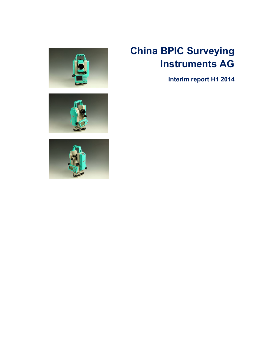

# **China BPIC Surveying Instruments AG**

**Interim report H1 2014**



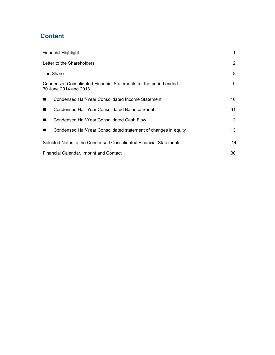# **Content**

| <b>Financial Highlight</b>                                                                | 1  |  |
|-------------------------------------------------------------------------------------------|----|--|
| Letter to the Shareholders                                                                | 2  |  |
| The Share                                                                                 | 8  |  |
| Condensed Consolidated Financial Statements for the period ended<br>30 June 2014 and 2013 | 9  |  |
| Condensed Half-Year Consolidated Income Statement<br>$\blacksquare$                       | 10 |  |
| Condensed Half-Year Consolidated Balance Sheet<br>$\blacksquare$                          | 11 |  |
| Condensed Half-Year Consolidated Cash Flow<br>$\blacksquare$                              | 12 |  |
| Condensed Half-Year Consolidated statement of changes in equity<br>$\blacksquare$         | 13 |  |
| Selected Notes to the Condensed Consolidated Financial Statements                         | 14 |  |
| Financial Calendar, Imprint and Contact                                                   | 30 |  |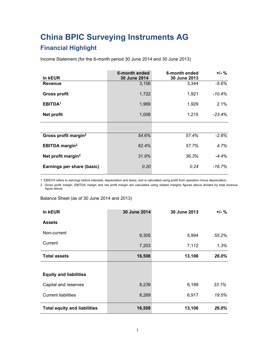# **China BPIC Surveying Instruments AG**

# **Financial Highlight**

Income Statement (for the 6-month period 30 June 2014 and 30 June 2013)

|                                   | 6-month ended | 6-month ended | $+/-$ %   |
|-----------------------------------|---------------|---------------|-----------|
| In kEUR                           | 30 June 2014  | 30 June 2013  |           |
| <b>Revenue</b>                    | 3,156         | 3,344         | $-5.6%$   |
|                                   |               |               |           |
| <b>Gross profit</b>               | 1,722         | 1,921         | $-10.4%$  |
|                                   |               |               |           |
| EBITDA <sup>1</sup>               | 1,969         | 1,929         | 2.1%      |
| Net profit                        | 1,008         | 1,215         | $-23.4%$  |
|                                   |               |               |           |
|                                   |               |               |           |
|                                   |               |               |           |
| Gross profit margin <sup>2</sup>  | 54.6%         | 57.4%         | $-2.8%$   |
|                                   |               |               |           |
| <b>EBITDA</b> margin <sup>2</sup> | 62.4%         | 57.7%         | 4.7%      |
|                                   |               |               |           |
| Net profit margin <sup>2</sup>    | 31.9%         | 36.3%         | $-4.4%$   |
| Earnings per share (basic)        | 0.20          | 0.24          | $-16.7\%$ |
|                                   |               |               |           |
|                                   |               |               |           |

1 EBIDTA refers to earnings before interests, depreciation and taxes, and iscalculated using profitfrom operation minus depreciation.

2 Gross profit margin, EBITDA margin and net profit margin are calculated using related margins figures above divided by total revenue figure above.

Balance Sheet (as of 30 June 2014 and 2013)

| In kEUR                             | 30 June 2014 | 30 June 2013 | $+/-$ % |
|-------------------------------------|--------------|--------------|---------|
| <b>Assets</b>                       |              |              |         |
| Non-current                         | 9,305        | 5,994        | 55.2%   |
| Current                             | 7,203        | 7,112        | 1.3%    |
| <b>Total assets</b>                 | 16,508       | 13,106       | 26.0%   |
|                                     |              |              |         |
| <b>Equity and liabilities</b>       |              |              |         |
| Capital and reserves                | 8,239        | 6,189        | 33.1%   |
| <b>Current liabilities</b>          | 8,269        | 6,917        | 19.5%   |
| <b>Total equity and liabilities</b> | 16,508       | 13,106       | 26.0%   |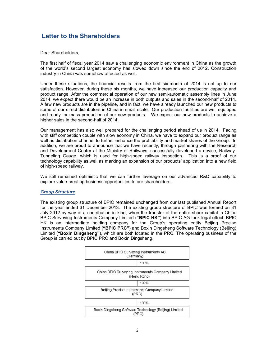# **Letter to the Shareholders**

Dear Shareholders,

The first half of fiscal year 2014 saw a challenging economic environment in China as the growth of the world's second largest economy has slowed down since the end of 2012. Construction industry in China was somehow affected as well.

Under these situations, the financial results from the first six-month of 2014 is not up to our satisfaction. However, during these six months, we have increased our production capacity and product range. After the commercial operation of our new semi-automatic assembly lines in June 2014, we expect there would be an increase in both outputs and sales in the second-half of 2014. A few new products are in the pipeline, and in fact, we have already launched our new products to some of our direct distributors in China in small scale. Our production facilities are well equipped and ready for mass production of our new products. We expect our new products to achieve a higher sales in the second-half of 2014.

Our management has also well prepared for the challenging period ahead of us in 2014. Facing with stiff competition couple with slow economy in China, we have to expand our product range as well as distribution channel to further enhance the profitability and market shares of the Group. In addition, we are proud to announce that we have recently, through partnering with the Research and Development Center at the Ministry of Railways, successfully developed a device, Railway-Tunneling Gauge, which is used for high-speed railway inspection. This is a proof of our technology capability as well as marking an expansion of our products' application into a new field of high-speed railway.

We still remained optimistic that we can further leverage on our advanced R&D capability to explore value-creating business opportunities to our shareholders.

#### *Group Structure*

The existing group structure of BPIC remained unchanged from our last published Annual Report for the year ended 31 December 2013. The existing group structure of BPIC was formed on 31 July 2012 by way of a contribution in kind, when the transfer of the entire share capital in China BPIC Surveying Instruments Company Limited (**"BPIC HK"**) into BPIC AG took legal effect. BPIC HK is an intermediate holding company for the Group's operating entity Beijing Precise Instruments Company Limited (**"BPIC PRC"**) and Boxin Dingsheng Software Technology (Beijing) Limited (**"Boxin Dingsheng"**), which are both located in the PRC. The operating business of the Group is carried out by BPIC PRC and Boxin Dingsheng.

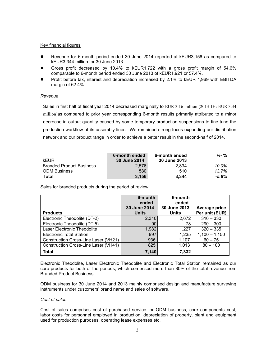#### Key financial figures

- Revenue for 6-month period ended 30 June 2014 reported at kEUR3,156 as compared to kEUR3,344 million for 30 June 2013.
- Gross profit decreased by 10.4% to kEUR1,722 with a gross profit margin of 54.6% comparable to 6-month period ended 30 June 2013 of kEUR1,921 or 57.4%.
- Profit before tax, interest and depreciation increased by 2.1% to kEUR 1,969 with EBITDA margin of 62.4%

#### *Revenue*

Sales in first half of fiscal year 2014 decreased marginally to EUR 3.16 million (2013 1H: EUR 3.34 million)as compared to prior year corresponding 6-month results primarily attributed to a minor decrease in output quantity caused by some temporary production suspensions to fine-tune the production workflow of its assembly lines. We remained strong focus expanding our distribution network and our product range in order to achieve a better result in the second-half of 2014.

| <b>kEUR</b>                     | 6-month ended<br><b>30 June 2014</b> | 6-month ended<br>30 June 2013 | $+/-$ %   |
|---------------------------------|--------------------------------------|-------------------------------|-----------|
| <b>Branded Product Business</b> | 2,576                                | 2,834                         | $-10.0\%$ |
| <b>ODM Business</b>             | 580                                  | 510                           | 13.7%     |
| <b>Total</b>                    | 3,156                                | 3.344                         | $-5.6%$   |

Sales for branded products during the period of review:

|                                      | 6-month<br>ended             | 6-month<br>ended             |                                 |
|--------------------------------------|------------------------------|------------------------------|---------------------------------|
| <b>Products</b>                      | 30 June 2014<br><b>Units</b> | 30 June 2013<br><b>Units</b> | Average price<br>Per unit (EUR) |
| Electronic Theodolite (DT-2)         | 2,310                        | 2,672                        | $310 - 330$                     |
| Electronic Theodolite (DT-5)         | 90                           | 78                           | $290 - 300$                     |
| Laser Electronic Theodolite          | 1,982                        | 1,227                        | $320 - 335$                     |
| Electronic Total Station             | 997                          | 1,235                        | $1,100 - 1,150$                 |
| Construction Cross-Line Laser (VH21) | 936                          | 1,107                        | $60 - 75$                       |
| Construction Cross-Line Laser (VH41) | 825                          | 1,013                        | $80 - 100$                      |
| <b>Total</b>                         | 7,140                        | 7,332                        |                                 |

Electronic Theodolite, Laser Electronic Theodolite and Electronic Total Station remained as our core products for both of the periods, which comprised more than 80% of the total revenue from Branded Product Business.

ODM business for 30 June 2014 and 2013 mainly comprised design and manufacture surveying instruments under customers' brand name and sales of software.

#### *Cost of sales*

Cost of sales comprises cost of purchased service for ODM business, core components cost, labor costs for personnel employed in production, depreciation of property, plant and equipment used for production purposes, operating lease expenses etc.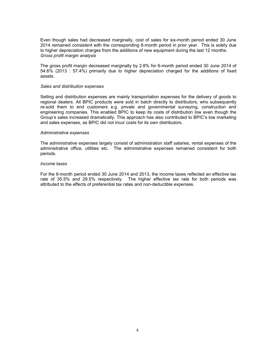Even though sales had decreased marginally, cost of sales for six-month period ended 30 June 2014 remained consistent with the corresponding 6-month period in prior year. This is solely due to higher depreciation charges from the additions of new equipment during the last 12 months. *Gross profit margin analysis*

The gross profit margin decreased marginally by 2.8% for 6-month period ended 30 June 2014 of 54.6% (2013 : 57.4%) primarily due to higher depreciation charged for the additions of fixed assets.

#### *Sales and distribution expenses*

Selling and distribution expenses are mainly transportation expenses for the delivery of goods to regional dealers. All BPIC products were sold in batch directly to distributors, who subsequently re-sold them to end customers e.g. private and governmental surveying, construction and engineering companies. This enabled BPIC to keep its costs of distribution low even though the Group's sales increased dramatically. This approach has also contributed to BPIC's low marketing and sales expenses, as BPIC did not incur costs for its own distributors.

#### *Administrative expenses*

The administrative expenses largely consist of administration staff salaries, rental expenses of the administrative office, utilities etc. The administrative expenses remained consistent for both periods.

#### *Income taxes*

For the 6-month period ended 30 June 2014 and 2013, the income taxes reflected an effective tax rate of 35.5% and 29.5% respectively. The higher effective tax rate for both periods was attributed to the effects of preferential tax rates and non-deductible expenses.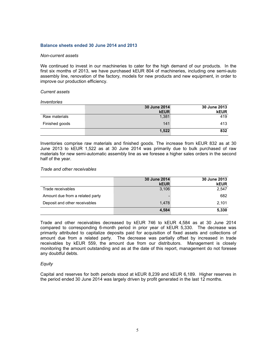#### **Balance sheets ended 30 June 2014 and 2013**

#### *Non-current assets*

We continued to invest in our machineries to cater for the high demand of our products. In the first six months of 2013, we have purchased kEUR 804 of machineries, including one semi-auto assembly line, renovation of the factory, models for new productsand new equipment, in order to improve our production efficiency.

#### *Current assets*

#### *Inventories*

|                | 30 June 2014 | 30 June 2013 |
|----------------|--------------|--------------|
|                | <b>kEUR</b>  | <b>kEUR</b>  |
| Raw materials  | 1,381        | 419          |
| Finished goods | 141          | 413          |
|                | 1,522        | 832          |

Inventories comprise raw materials and finished goods. The increase from kEUR 832 as at 30 June 2013 to kEUR 1,522 as at 30 June 2014 was primarily due to bulk purchased of raw materials for new semi-automatic assembly line as we foresee a higher sales orders in the second half of the year.

#### *Trade and other receivables*

|                                 | 30 June 2014<br><b>kEUR</b> | 30 June 2013<br><b>kEUR</b> |
|---------------------------------|-----------------------------|-----------------------------|
| Trade receivables               | 3,106                       | 2,547                       |
| Amount due from a related party |                             | 682                         |
| Deposit and other receivables   | 1,478                       | 2,101                       |
|                                 | 4,584                       | 5,330                       |

Trade and other receivables decreased by kEUR 746 to kEUR 4,584 as at 30 June 2014 compared to corresponding 6-month period in prior year of kEUR 5,330. The decrease was primarily attributed to capitalize deposits paid for acquisition of fixed assets and collections of amount due from a related party. The decrease was partially offset by increased in trade receivables by kEUR 559, the amount due from our distributors. Management is closely monitoring the amount outstanding and as at the date of this report, management do not foresee any doubtful debts.

#### *Equity*

Capital and reserves for both periods stood at kEUR 8,239 and kEUR 6,189. Higher reserves in the period ended 30 June 2014 was largely driven by profit generated in the last 12 months.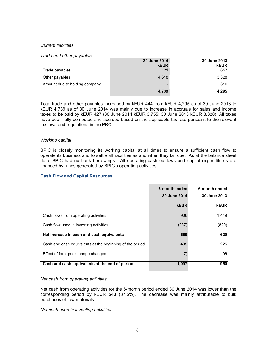#### *Current liabilities*

#### *Trade and other payables*

|                               | 30 June 2014       | 30 June 2013       |
|-------------------------------|--------------------|--------------------|
| Trade payables                | <b>kEUR</b><br>121 | <b>kEUR</b><br>657 |
|                               |                    |                    |
| Other payables                | 4,618              | 3,328              |
| Amount due to holding company |                    | 310                |
|                               | 4,739              | 4,295              |

Total trade and other payables increased by kEUR 444 from kEUR 4,295 as of 30 June 2013 to kEUR 4,739 as of 30 June 2014 was mainly due to increase in accruals for sales and income taxes to be paid by kEUR 427 (30 June 2014 kEUR 3,755; 30 June 2013 kEUR 3,328). All taxes have been fully computed and accrued based on the applicable tax rate pursuant to the relevant tax laws and regulations in the PRC.

#### *Working capital*

BPIC is closely monitoring its working capital at all times to ensure a sufficient cash flow to operate its business and to settle all liabilities as and when they fall due. As at the balance sheet date, BPIC had no bank borrowings. All operating cash outflows and capital expenditures are financed by funds generated by BPIC's operating activities.

#### **Cash Flow and Capital Resources**

|                                                          | 6-month ended<br>30 June 2014 | 6-month ended<br>30 June 2013 |  |
|----------------------------------------------------------|-------------------------------|-------------------------------|--|
|                                                          | <b>kEUR</b>                   | <b>kEUR</b>                   |  |
| Cash flows from operating activities                     | 906                           | 1,449                         |  |
| Cash flow used in investing activities                   | (237)                         | (820)                         |  |
| Net increase in cash and cash equivalents                | 669                           | 629                           |  |
| Cash and cash equivalents at the beginning of the period | 435                           | 225                           |  |
| Effect of foreign exchange changes                       | (7)                           | 96                            |  |
| Cash and cash equivalents at the end of period           | 1,097                         | 950                           |  |

#### *Net cash from operating activities*

Net cash from operating activities for the 6-month period ended 30 June 2014 was lower than the corresponding period by kEUR 543 (37.5%). The decrease was mainly attributable to bulk purchases of raw materials.

*Net cash used in investing activities*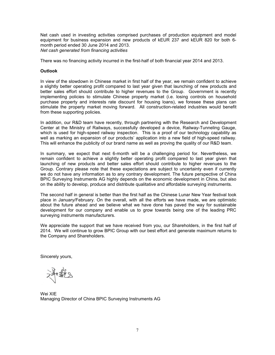Net cash used in investing activities comprised purchases of production equipment and model equipment for business expansion and new products of kEUR 237 and kEUR 820 for both 6 month period ended 30 June 2014 and 2013. *Net cash generated from financing activities*

There was no financing activity incurred in the first-half of both financial year 2014 and 2013.

#### **Outlook**

In view of the slowdown in Chinese market in first half of the year, we remain confident to achieve a slightly better operating profit compared to last year given that launching of new products and better sales effort should contribute to higher revenues to the Group. Government is recently implementing policies to stimulate Chinese property market (i.e. losing controls on household purchase property and interests rate discount for housing loans), we foresee these plans can stimulate the property market moving forward. All construction-related industries would benefit from these supporting policies.

In addition, our R&D team have recently, through partnering with the Research and Development Center at the Ministry of Railways, successfully developed a device, Railway-Tunneling Gauge, which is used for high-speed railway inspection. This is a proof of our technology capability as well as marking an expansion of our products' application into a new field of high-speed railway. This will enhance the publicity of our brand name as well as proving the quality of our R&D team.

In summary, we expect that next 6-month will be a challenging period for. Nevertheless, we remain confident to achieve a slightly better operating profit compared to last year given that launching of new products and better sales effort should contribute to higher revenues to the Group. Contrary please note that these expectations are subject to uncertainty even if currently we do not have any information as to any contrary development. The future perspective of China BPIC Surveying Instruments AG highly depends on the economic development in China, but also on the ability to develop, produce and distribute qualitative and affordable surveying instruments.

The second half in general is better than the first half as the Chinese Lunar New Year festival took place in January/February. On the overall, with all the efforts we have made, we are optimistic about the future ahead and we believe what we have done has paved the way for sustainable development for our company and enable us to grow towards being one of the leading PRC surveying instruments manufacturers.

We appreciate the support that we have received from you, our Shareholders, in the first half of 2014. We will continue to grow BPIC Group with our best effort and generate maximum returns to the Company and Shareholders.

Sincerely yours,

Wei XIE Managing Director of China BPIC Surveying Instruments AG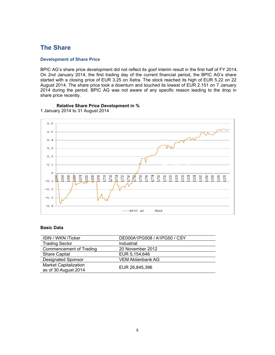# **The Share**

#### **Development of Share Price**

BPIC AG's share price development did not reflect its goof interim result in the first half of FY 2014. On 2nd January 2014, the first trading day of the current financial period, the BPIC AG's share started with a closing price of EUR 3.25 on Xetra. The stock reached its high of EUR 5.22 on 22 August 2014. The share price took a downturn and touched its lowest of EUR 2.151 on 7 January 2014 during the period. BPIC AG was not aware of any specific reason leading to the drop in share price recently.



#### **Relative Share Price Development in %** 1 January 2014 to 31 August 2014

#### **Basic Data**

| ISIN / WKN /Ticker           | DE000A1PG508 / A1PG50 / CSY |
|------------------------------|-----------------------------|
| <b>Trading Sector</b>        | Industrial                  |
| Commencement of Trading      | 20 November 2012            |
| <b>Share Capital</b>         | EUR 5,154,646               |
| <b>Designated Sponsor</b>    | <b>VEM Aktienbank AG</b>    |
| <b>Market Capitalization</b> | EUR 26,845,396              |
| as of 30 August 2014         |                             |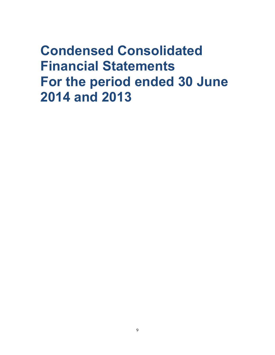# **Condensed Consolidated Financial Statements For the period ended 30 June 2014 and 2013**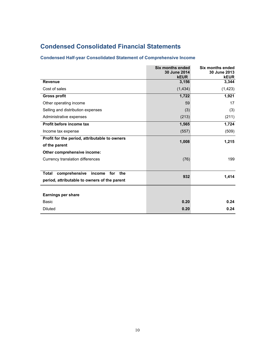# **Condensed Consolidated Financial Statements**

# **Condensed Half-year Consolidated Statement of Comprehensive Income**

|                                                       | <b>Six months ended</b><br>30 June 2014<br><b>kEUR</b> | <b>Six months ended</b><br>30 June 2013<br><b>kEUR</b> |
|-------------------------------------------------------|--------------------------------------------------------|--------------------------------------------------------|
| <b>Revenue</b>                                        | 3,156                                                  | 3,344                                                  |
| Cost of sales                                         | (1, 434)                                               | (1, 423)                                               |
| <b>Gross profit</b>                                   | 1,722                                                  | 1,921                                                  |
| Other operating income                                | 59                                                     | 17                                                     |
| Selling and distribution expenses                     | (3)                                                    | (3)                                                    |
| Administrative expenses                               | (213)                                                  | (211)                                                  |
| Profit before income tax                              | 1,565                                                  | 1,724                                                  |
| Income tax expense                                    | (557)                                                  | (509)                                                  |
| Profit for the period, attributable to owners         | 1,008                                                  |                                                        |
| of the parent                                         |                                                        | 1,215                                                  |
| Other comprehensive income:                           |                                                        |                                                        |
| Currency translation differences                      | (76)                                                   | 199                                                    |
|                                                       |                                                        |                                                        |
| comprehensive<br>for<br>the<br><b>Total</b><br>income | 932                                                    | 1,414                                                  |
| period, attributable to owners of the parent          |                                                        |                                                        |
|                                                       |                                                        |                                                        |
| Earnings per share                                    |                                                        |                                                        |
| Basic                                                 | 0.20                                                   | 0.24                                                   |
| <b>Diluted</b>                                        | 0.20                                                   | 0.24                                                   |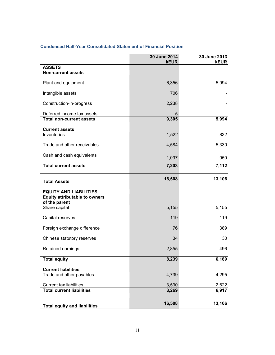|--|--|

|                                                                                        | 30 June 2014<br><b>kEUR</b> | 30 June 2013<br><b>kEUR</b> |
|----------------------------------------------------------------------------------------|-----------------------------|-----------------------------|
| <b>ASSETS</b><br><b>Non-current assets</b>                                             |                             |                             |
| Plant and equipment                                                                    | 6,356                       | 5,994                       |
| Intangible assets                                                                      | 706                         |                             |
| Construction-in-progress                                                               | 2,238                       |                             |
| Deferred income tax assets                                                             | 5                           |                             |
| <b>Total non-current assets</b>                                                        | 9,305                       | 5,994                       |
| <b>Current assets</b><br>Inventories                                                   | 1,522                       | 832                         |
| Trade and other receivables                                                            | 4,584                       | 5,330                       |
| Cash and cash equivalents                                                              | 1,097                       | 950                         |
| <b>Total current assets</b>                                                            | 7,203                       | 7,112                       |
| <b>Total Assets</b>                                                                    | 16,508                      | 13,106                      |
| <b>EQUITY AND LIABILITIES</b><br><b>Equity attributable to owners</b><br>of the parent |                             |                             |
| Share capital                                                                          | 5,155                       | 5,155                       |
| Capital reserves                                                                       | 119                         | 119                         |
| Foreign exchange difference                                                            | 76                          | 389                         |
| Chinese statutory reserves                                                             | 34                          | 30                          |
| Retained earnings                                                                      | 2,855                       | 496                         |
| <b>Total equity</b>                                                                    | 8,239                       | 6,189                       |
| <b>Current liabilities</b><br>Trade and other payables                                 | 4,739                       | 4,295                       |
| Current tax liabilities                                                                | 3,530                       | 2,622                       |
| <b>Total current liabilities</b>                                                       | 8,269                       | 6,917                       |
| <b>Total equity and liabilities</b>                                                    | 16,508                      | 13,106                      |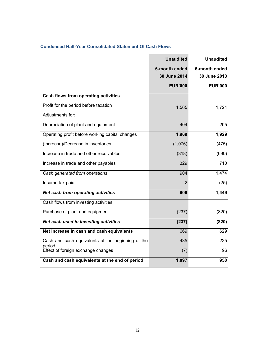| <b>Condensed Half-Year Consolidated Statement Of Cash Flows</b> |  |
|-----------------------------------------------------------------|--|
|-----------------------------------------------------------------|--|

|                                                   | <b>Unaudited</b> | <b>Unaudited</b> |
|---------------------------------------------------|------------------|------------------|
|                                                   | 6-month ended    | 6-month ended    |
|                                                   | 30 June 2014     | 30 June 2013     |
|                                                   | <b>EUR'000</b>   | <b>EUR'000</b>   |
| Cash flows from operating activities              |                  |                  |
| Profit for the period before taxation             | 1,565            | 1,724            |
| Adjustments for:                                  |                  |                  |
| Depreciation of plant and equipment               | 404              | 205              |
| Operating profit before working capital changes   | 1,969            | 1,929            |
| (Increase)/Decrease in inventories                | (1,076)          | (475)            |
| Increase in trade and other receivables           | (318)            | (690)            |
| Increase in trade and other payables              | 329              | 710              |
| Cash generated from operations                    | 904              | 1,474            |
| Income tax paid                                   | 2                | (25)             |
| Net cash from operating activities                | 906              | 1,449            |
| Cash flows from investing activities              |                  |                  |
| Purchase of plant and equipment                   | (237)            | (820)            |
| Net cash used in investing activities             | (237)            | (820)            |
| Net increase in cash and cash equivalents         | 669              | 629              |
| Cash and cash equivalents at the beginning of the | 435              | 225              |
| period<br>Effect of foreign exchange changes      | (7)              | 96               |
| Cash and cash equivalents at the end of period    | 1,097            | 950              |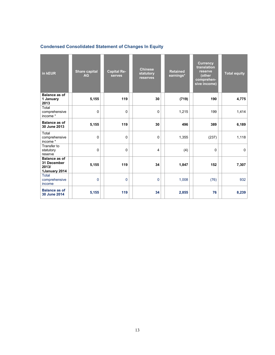# **Condensed Consolidated Statement of Changes In Equity**

| in kEUR                                                       | <b>Share capital</b><br><b>AG</b> | <b>Capital Re-</b><br><b>serves</b> | <b>Chinese</b><br>statutory<br>reserves | <b>Retained</b><br>earnings* | <b>Currency</b><br>translation<br>reserve<br>(other<br>comprehen-<br>sive income) | <b>Total equity</b> |
|---------------------------------------------------------------|-----------------------------------|-------------------------------------|-----------------------------------------|------------------------------|-----------------------------------------------------------------------------------|---------------------|
| <b>Balance as of</b><br>1 January<br>2013                     | 5,155                             | 119                                 | 30                                      | (719)                        | 190                                                                               | 4,775               |
| Total<br>comprehensive<br>income*                             | 0                                 | 0                                   | $\pmb{0}$                               | 1,215                        | 199                                                                               | 1,414               |
| <b>Balance as of</b><br>30 June 2013                          | 5,155                             | 119                                 | 30                                      | 496                          | 389                                                                               | 6,189               |
| Total<br>comprehensive<br>income*                             | $\Omega$                          | 0                                   | $\mathbf 0$                             | 1,355                        | (237)                                                                             | 1,118               |
| Transfer to<br>statutory<br>reserve                           | 0                                 | 0                                   | 4                                       | (4)                          | $\mathbf 0$                                                                       | 0                   |
| <b>Balance as of</b><br>31 December<br>2013/<br>1January 2014 | 5,155                             | 119                                 | 34                                      | 1,847                        | 152                                                                               | 7,307               |
| Total<br>comprehensive<br>income                              | 0                                 | 0                                   | $\mathbf 0$                             | 1,008                        | (76)                                                                              | 932                 |
| <b>Balance as of</b><br>30 June 2014                          | 5,155                             | 119                                 | 34                                      | 2,855                        | 76                                                                                | 8,239               |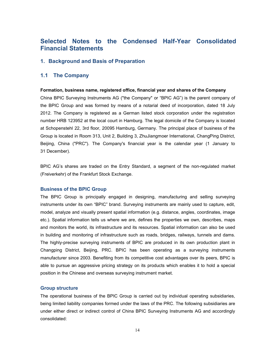# **Selected Notes to the Condensed Half-Year Consolidated Financial Statements**

# **1. Background and Basis of Preparation**

# **1.1 The Company**

#### **Formation, business name, registered office, financial year and shares of the Company**

China BPIC Surveying Instruments AG ("the Company" or "BPIC AG") is the parent company of the BPIC Group and was formed by means of a notarial deed of incorporation, dated 18 July 2012. The Company is registered as a German listed stock corporation under the registration number HRB 123952 at the local court in Hamburg. The legal domicile of the Company is located at Schopenstehl 22, 3rd floor, 20095 Hamburg, Germany. The principal place of business of the Group is located in Room 313, Unit 2, Building 3, ZhuJiangmoer International, ChangPing District, Beijing, China ("PRC"). The Company's financial year is the calendar year (1 January to 31 December).

BPIC AG's shares are traded on the Entry Standard, a segment of the non-regulated market (Freiverkehr) of the Frankfurt Stock Exchange.

#### **Business of the BPIC Group**

The BPIC Group is principally engaged in designing, manufacturing and selling surveying instruments under its own "BPIC" brand. Surveying instruments are mainly used to capture, edit, model, analyze and visually present spatial information (e.g. distance, angles, coordinates, image etc.). Spatial information tells us where we are, defines the properties we own, describes, maps and monitors the world, its infrastructure and its resources. Spatial information can also be used in building and monitoring of infrastructure such as roads, bridges, railways, tunnels and dams. The highly-precise surveying instruments of BPIC are produced in its own production plant in Changping District, Beijing, PRC. BPIC has been operating as a surveying instruments manufacturer since 2003. Benefiting from its competitive cost advantages over its peers, BPIC is able to pursue an aggressive pricing strategy on its products which enables it to hold a special position in the Chinese and overseas surveying instrument market.

#### **Group structure**

The operational business of the BPIC Group is carried out by individual operating subsidiaries, being limited liability companies formed under the laws of the PRC. The following subsidiaries are under either direct or indirect control of China BPIC Surveying Instruments AG and accordingly consolidated: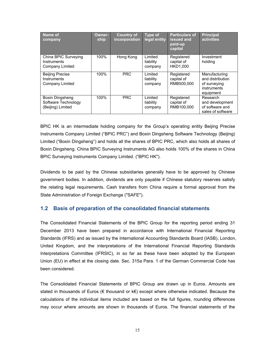| Name of<br>company                                          | <b>Owner-</b><br>ship | <b>Country of</b><br>incorporation | Type of<br>legal entity         | <b>Particulars of</b><br>issued and<br>paid-up<br>capital | <b>Principal</b><br>activities                                                |
|-------------------------------------------------------------|-----------------------|------------------------------------|---------------------------------|-----------------------------------------------------------|-------------------------------------------------------------------------------|
| China BPIC Surveying<br>Instruments<br>Company Limited      | 100%                  | Hong Kong                          | Limited<br>liability<br>company | Registered<br>capital of<br>HKD1.000                      | Investment<br>holding                                                         |
| <b>Beijing Precise</b><br>Instruments<br>Company Limited    | 100%                  | <b>PRC</b>                         | Limited<br>liability<br>company | Registered<br>capital of<br>RMB500.000                    | Manufacturing<br>and distribution<br>of surveying<br>instruments<br>equipment |
| Boxin Dingsheng<br>Software Technology<br>(Beijing) Limited | 100%                  | <b>PRC</b>                         | Limited<br>liability<br>company | Registered<br>capital of<br>RMB100.000                    | Research<br>and development<br>of software and<br>sales of software           |

BPIC HK is an intermediate holding company for the Group's operating entity Beijing Precise Instruments Company Limited ("BPIC PRC") and Boxin Dingsheng Software Technology (Beijing) Limited ("Boxin Dingsheng") and holds all the shares of BPIC PRC, which also holds all shares of Boxin Dingsheng. China BPIC Surveying Instruments AG also holds 100% of the shares in China BPIC Surveying Instruments Company Limited. ("BPIC HK").

Dividends to be paid by the Chinese subsidiaries generally have to be approved by Chinese government bodies. In addition, dividends are only payable if Chinese statutory reserves satisfy the relating legal requirements. Cash transfers from China require a formal approval from the State Administration of Foreign Exchange ("SAFE").

# **1.2 Basis of preparation of the consolidated financial statements**

The Consolidated Financial Statements of the BPIC Group for the reporting period ending 31 December 2013 have been prepared in accordance with International Financial Reporting Standards (IFRS) and as issued by the International Accounting Standards Board (IASB), London, United Kingdom, and the interpretations of the International Financial Reporting Standards Interpretations Committee (IFRSIC), in so far as these have been adopted by the European Union (EU) in effect at the closing date. Sec. 315a Para. 1 of the German Commercial Code has been considered.

The Consolidated Financial Statements of BPIC Group are drawn up in Euros. Amounts are stated in thousands of Euros (€ thousand or k€) except where otherwise indicated. Because the calculations of the individual items included are based on the full figures, rounding differences may occur where amounts are shown in thousands of Euros. The financial statements of the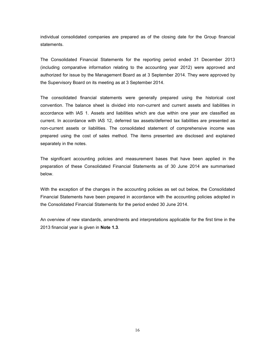individual consolidated companies are prepared as of the closing date for the Group financial statements.

The Consolidated Financial Statements for the reporting period ended 31 December 2013 (including comparative information relating to the accounting year 2012) were approved and authorized for issue by the Management Board as at 3 September 2014. They were approved by the Supervisory Board on its meeting as at 3 September 2014.

The consolidated financial statements were generally prepared using the historical cost convention. The balance sheet is divided into non-current and current assets and liabilities in accordance with IAS 1. Assets and liabilities which are due within one year are classified as current. In accordance with IAS 12, deferred tax assets/deferred tax liabilities are presented as non-current assets or liabilities. The consolidated statement of comprehensive income was prepared using the cost of sales method.The items presented are disclosed and explained separately in the notes.

The significant accounting policies and measurement bases that have been applied in the preparation of these Consolidated Financial Statements as of 30 June 2014 are summarised below.

With the exception of the changes in the accounting policies as set out below, the Consolidated Financial Statements have been prepared in accordance with the accounting policies adopted in the Consolidated Financial Statements for the period ended 30 June 2014.<br>An overview of new standards, amendments and interpretations applicable for the first time in the

2013 financial year is given in **Note 1.3**.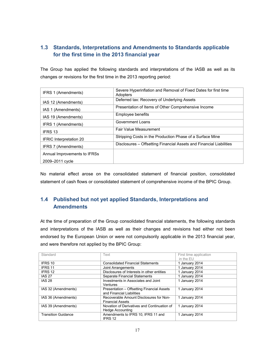# **1.3 Standards, Interpretations and Amendments to Standards applicable for the first time in the 2013 financial year**

The Group has applied the following standards and interpretations of the IASB as well as its changes or revisions for the first time in the 2013 reporting period:

| IFRS 1 (Amendments)            | Severe Hyperinflation and Removal of Fixed Dates for first time<br>Adopters |
|--------------------------------|-----------------------------------------------------------------------------|
| IAS 12 (Amendments)            | Deferred tax: Recovery of Underlying Assets                                 |
| IAS 1 (Amendments)             | Presentation of Items of Other Comprehensive Income                         |
| IAS 19 (Amendments)            | Employee benefits                                                           |
| IFRS 1 (Amendments)            | Government Loans                                                            |
| <b>IFRS 13</b>                 | Fair Value Measurement                                                      |
| <b>IFRIC Interpretation 20</b> | Stripping Costs in the Production Phase of a Surface Mine                   |
| IFRS 7 (Amendments)            | Disclosures - Offsetting Financial Assets and Financial Liabilities         |
| Annual Improvements to IFRSs   |                                                                             |
| 2009-2011 cycle                |                                                                             |

No material effect arose on the consolidated statement of financial position, consolidated statement of cash flows or consolidated statement of comprehensive income of the BPIC Group.

# **1.4 Published but not yet applied Standards, Interpretations and Amendments**

At the time of preparation of the Group consolidated financial statements, the following standards and interpretations of the IASB as well as their changes and revisions had either not been endorsed by the European Union or were not compulsorily applicable in the 2013 financial year, and were therefore not applied by the BPIC Group:

| Standard                   | Text                                        | First time application<br>in the EU |
|----------------------------|---------------------------------------------|-------------------------------------|
| IFRS 10                    | <b>Consolidated Financial Statements</b>    | 1 January 2014                      |
| IFRS 11                    | Joint Arrangements                          | 1 January 2014                      |
| IFRS 12                    | Disclosures of Interests in other entities  | 1 January 2014                      |
| <b>IAS 27</b>              | <b>Separate Financial Statements</b>        | 1 January 2014                      |
| <b>IAS 28</b>              | Investments in Associates and Joint         | 1 January 2014                      |
|                            | Ventures                                    |                                     |
| IAS 32 (Amendments)        | Presentation - Offsetting Financial Assets  | 1 January 2014                      |
|                            | and Financial Liabilities                   |                                     |
| IAS 36 (Amendments)        | Recoverable Amount Disclosures for Non-     | 1 January 2014                      |
|                            | <b>Financial Assets</b>                     |                                     |
| IAS 39 (Amendments)        | Novation of Derivatives and Continuation of | 1 January 2014                      |
|                            | Hedge Accounting                            |                                     |
| <b>Transition Guidance</b> | Amendments to IFRS 10, IFRS 11 and          | 1 January 2014                      |
|                            | IFRS 12                                     |                                     |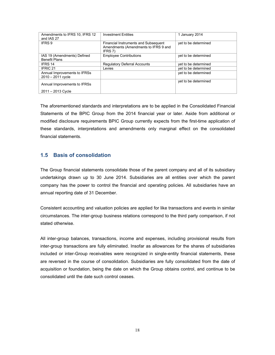| Amendments to IFRS 10, IFRS 12<br>and IAS 27        | <b>Investment Entities</b>                                                              | 1 January 2014       |
|-----------------------------------------------------|-----------------------------------------------------------------------------------------|----------------------|
| IFRS 9                                              | Financial Instruments and Subsequent<br>Amendments (Amendments to IFRS 9 and<br>IFRS 7) | yet to be determined |
| IAS 19 (Amendments) Defined<br><b>Benefit Plans</b> | <b>Employee Contributions</b>                                                           | yet to be determined |
| IFRS 14                                             | <b>Regulatory Deferral Accounts</b>                                                     | yet to be determined |
| IFRIC 21                                            | Levies                                                                                  | yet to be determined |
| Annual Improvements to IFRSs<br>$2010 - 2011$ cycle |                                                                                         | yet to be determined |
| Annual Improvements to IFRSs                        |                                                                                         | yet to be determined |
| 2011 - 2013 Cycle                                   |                                                                                         |                      |

The aforementioned standards and interpretations are to be applied in the Consolidated Financial Statements of the BPIC Group from the 2014 financial year or later. Aside from additional or modified disclosure requirements BPIC Group currently expects from the first-time application of these standards, interpretations and amendments only marginal effect on the consolidated financial statements.

# **1.5 Basis of consolidation**

The Group financial statements consolidate those of the parent company and all of its subsidiary undertakings drawn up to 30 June 2014. Subsidiaries are all entities over which the parent company has the power to control the financial and operating policies. All subsidiaries have an annual reporting date of 31 December.

Consistent accounting and valuation policies are applied for like transactions and events in similar circumstances. The inter-group business relations correspond to the third party comparison, if not stated otherwise.

All inter-group balances, transactions, income and expenses, including provisional results from inter-group transactions are fully eliminated. Insofar as allowances for the shares of subsidiaries included or inter-Group receivables were recognized in single-entity financial statements, these are reversed in the course of consolidation. Subsidiaries are fully consolidated from the date of acquisition or foundation, being the date on which the Group obtains control, and continue to be consolidated until the date such control ceases.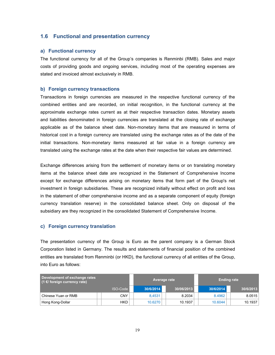# **1.6 Functional and presentation currency**

#### **a) Functional currency**

The functional currency for all of the Group's companies is Renminbi (RMB). Sales and major costs of providing goods and ongoing services, including most of the operating expenses are stated and invoiced almost exclusively in RMB.

#### **b) Foreign currency transactions**

Transactions in foreign currencies are measured in the respective functional currency of the combined entities and are recorded, on initial recognition, in the functional currency at the approximate exchange rates current as at their respective transaction dates. Monetary assets and liabilities denominated in foreign currencies are translated at the closing rate of exchange applicable as of the balance sheet date. Non-monetary items that are measured in terms of historical cost in a foreign currency are translated using the exchange rates as of the date of the initial transactions. Non-monetary items measured at fair value in a foreign currency are translated using the exchange rates at the date when their respective fair values are determined.

Exchange differences arising from the settlement of monetary items or on translating monetary items at the balance sheet date are recognized in the Statement of Comprehensive Income except for exchange differences arising on monetary items that form part of the Group's net investment in foreign subsidiaries. These are recognized initially without effect on profit and loss in the statement of other comprehensive income and as a separate component of equity (foreign currency translation reserve) in the consolidated balance sheet. Only on disposal of the subsidiary are they recognized in the consolidated Statement of Comprehensive Income.

#### **c) Foreign currency translation**

The presentation currency of the Group is Euro as the parent company is a German Stock Corporation listed in Germany. The results and statements of financial position of the combined entities are translated from Renminbi (or HKD), the functional currency of all entities of the Group, into Euro as follows:

| Development of exchange rates<br>$(1 \notin$ foreign currency rate) |            |           | Average rate | <b>Ending rate</b> |           |
|---------------------------------------------------------------------|------------|-----------|--------------|--------------------|-----------|
|                                                                     | ISO-Code   | 30/6/2014 | 30/06/2013   | 30/6/2014          | 30/6/2013 |
| Chinese Yuan or RMB                                                 | CNY        | 8.4531    | 8.2034       | 8.4962             | 8.0515    |
| Hong Kong-Dollar                                                    | <b>HKD</b> | 10.6270   | 10.1937      | 10.6044            | 10.1937   |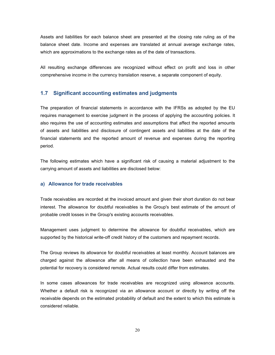Assets and liabilities for each balance sheet are presented at the closing rate ruling as of the balance sheet date. Income and expenses are translated at annual average exchange rates, which are approximations to the exchange rates as of the date of transactions.

All resulting exchange differences are recognized without effect on profit and loss in other comprehensive income in the currency translation reserve, a separate component of equity.

# **1.7 Significant accounting estimates and judgments**

The preparation of financial statements in accordance with the IFRSs as adopted by the EU requires management to exercise judgment in the process of applying the accounting policies. It also requires the use of accounting estimates and assumptions that affect the reported amounts of assets and liabilities and disclosure of contingent assets and liabilities at the date of the financial statements and the reported amount of revenue and expenses during the reporting period.

The following estimates which have a significant risk of causing a material adjustment to the carrying amount of assets and liabilities are disclosed below:

# **a) Allowance for trade receivables**

Trade receivables are recorded at the invoiced amount and given their short duration do not bear interest. The allowance for doubtful receivables is the Group's best estimate of the amount of probable credit losses in the Group's existing accounts receivables.

Management uses judgment to determine the allowance for doubtful receivables, which are supported by the historical write-off credit history of the customers and repayment records.

The Group reviews its allowance for doubtful receivables at least monthly. Account balances are charged against the allowance after all means of collection have been exhausted and the potential for recovery is considered remote. Actual results could differ from estimates.

In some cases allowances for trade receivables are recognized using allowance accounts. Whether a default risk is recognized via an allowance account or directly by writing off the receivable depends on the estimated probability of default and the extent to which this estimate is considered reliable.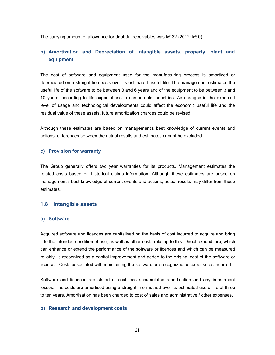The carrying amount of allowance for doubtful receivables was k€ 32 (2012: k€ 0).

# **b) Amortization and Depreciation of intangible assets, property, plant and equipment**

The cost of software and equipment used for the manufacturing process is amortized or depreciated on a straight-line basis over its estimated useful life. The management estimates the useful life of the software to be between 3 and 6 years and of the equipment to be between 3 and 10 years, according to life expectations in comparable industries. As changes in the expected level of usage and technological developments could affect the economic useful life and the residual value of these assets, future amortization charges could be revised.

Although these estimates are based on management's best knowledge of current events and actions, differences between the actual results and estimates cannot be excluded.

#### **c) Provision for warranty**

The Group generally offers two year warranties for its products. Management estimates the related costs based on historical claims information. Although these estimates are based on management's best knowledge of current events and actions, actual results may differ from these estimates.

# **1.8 Intangible assets**

#### **a) Software**

Acquired software and licences are capitalised on the basis of cost incurred to acquire and bring it to the intended condition of use, as well as other costs relating to this. Direct expenditure, which can enhance or extend the performance of the software or licences and which can be measured reliably, is recognized as a capital improvement and added to the original cost of the software or licences. Costs associated with maintaining the software are recognized as expense as incurred.

Software and licences are stated at cost less accumulated amortisation and any impairment losses. The costs are amortised using a straight line method over its estimated useful life of three to ten years. Amortisation has been charged to cost of sales and administrative / other expenses.

# **b) Research and development costs**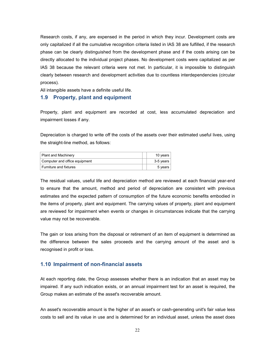Research costs, if any, are expensed in the period in which they incur. Development costs are only capitalized if all the cumulative recognition criteria listed in IAS 38 are fulfilled, if the research phase can be clearly distinguished from the development phase and if the costs arising can be directly allocated to the individual project phases. No development costs were capitalized as per IAS 38 because the relevant criteria were not met. In particular, it is impossible to distinguish clearly between research and development activities due to countless interdependencies (circular process).

All intangible assets have a definite useful life.

# **1.9 Property, plant and equipment**

Property, plant and equipment are recorded at cost, less accumulated depreciation and impairment losses if any.

Depreciation is charged to write off the costs of the assets over their estimated useful lives, using the straight-line method, as follows:

| <b>Plant and Machinery</b>    | 10 years  |
|-------------------------------|-----------|
| Computer and office equipment | 3-5 vears |
| Furniture and fixtures        | 5 years   |

The residual values, useful life and depreciation method are reviewed at each financial year-end to ensure that the amount, method and period of depreciation are consistent with previous estimates and the expected pattern of consumption of the future economic benefits embodied in the items of property, plant and equipment. The carrying values of property, plant and equipment are reviewed for impairment when events or changes in circumstances indicate that the carrying value may not be recoverable.

The gain or loss arising from the disposal or retirement of an item of equipment is determined as the difference between the sales proceeds and the carrying amount of the asset and is recognised in profit or loss.

# **1.10 Impairment of non-financial assets**

At each reporting date, the Group assesses whether there is an indication that an asset may be impaired. If any such indication exists, or an annual impairment test for an asset is required, the Group makes an estimate of the asset's recoverable amount.

An asset's recoverable amount is the higher of an asset's or cash-generating unit's fair value less costs to sell and its value in use and is determined for an individual asset, unless the asset does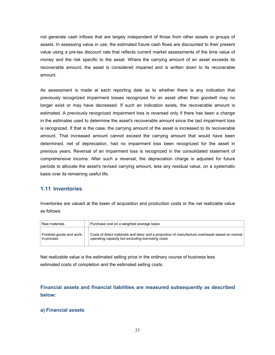not generate cash inflows that are largely independent of those from other assets or groups of assets. In assessing value in use, the estimated future cash flows are discounted to their present value using a pre-tax discount rate that reflects current market assessments of the time value of money and the risk specific to the asset. Where the carrying amount of an asset exceeds its recoverable amount, the asset is considered impaired and is written down to its recoverable amount.

As assessment is made at each reporting date as to whether there is any indication that previously recognized impairment losses recognized for an asset other than goodwill may no longer exist or may have decreased. If such an indication exists, the recoverable amount is estimated. A previously recognized impairment loss is reversed only if there has been a change in the estimates used to determine the asset's recoverable amount since the last impairment loss is recognized. If that is the case, the carrying amount of the asset is increased to its recoverable amount. That increased amount cannot exceed the carrying amount that would have been determined, net of depreciation, had no impairment loss been recognized for the asset in previous years. Reversal of an impairment loss is recognized in the consolidated statement of comprehensive income. After such a reversal, the depreciation charge is adjusted for future periods to allocate the asset's revised carrying amount, less any residual value, on a systematic basis over its remaining useful life.

# **1.11 Inventories**

Inventories are valued at the lower of acquisition and production costs or the net realizable value as follows:

| Raw materials                          | Purchase cost on a weighted average basis                                                                                                         |
|----------------------------------------|---------------------------------------------------------------------------------------------------------------------------------------------------|
| Finished goods and work-<br>in-process | Costs of direct materials and labor and a proportion of manufacture overheads based on normal<br>operating capacity but excluding borrowing costs |

Net realizable value is the estimated selling price in the ordinary course of business less estimated costs of completion and the estimated selling costs.

**Financial assets and financial liabilities are measured subsequently as described below:**

# **a) Financial assets**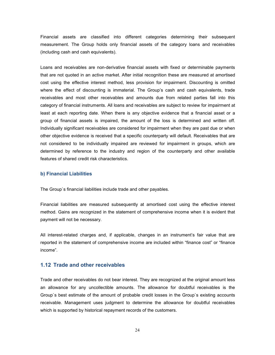Financial assets are classified into different categories determining their subsequent measurement. The Group holds only financial assets of the category loans and receivables (including cash and cash equivalents).

Loans and receivables are non-derivative financial assets with fixed or determinable payments that are not quoted in an active market. After initial recognition these are measured at amortised cost using the effective interest method, less provision for impairment. Discounting is omitted where the effect of discounting is immaterial. The Group's cash and cash equivalents, trade receivables and most other receivables and amounts due from related parties fall into this category of financial instruments. All loans and receivables are subject to review for impairment at least at each reporting date. When there is any objective evidence that a financial asset or a group of financial assets is impaired, the amount of the loss is determined and written off. Individually significant receivables are considered for impairment when they are past due or when other objective evidence is received that a specific counterparty will default. Receivables that are not considered to be individually impaired are reviewed for impairment in groups, which are determined by reference to the industry and region of the counterparty and other available features of shared credit risk characteristics.

#### **b) Financial Liabilities**

The Group`s financial liabilities include trade and other payables.

Financial liabilities are measured subsequently at amortised cost using the effective interest method. Gains are recognized in the statement of comprehensive income when it is evident that payment will not be necessary.

All interest-related charges and, if applicable, changes in an instrument's fair value that are reported in the statement of comprehensive income are included within "finance cost" or "finance income".

# **1.12 Trade and other receivables**

Trade and other receivables do not bear interest. They are recognized at the originalamount less an allowance for any uncollectible amounts. The allowance for doubtful receivables is the Group`s best estimate of the amount of probable credit losses in the Group`s existing accounts receivable. Management uses judgment to determine the allowance for doubtful receivables which is supported by historical repayment records of the customers.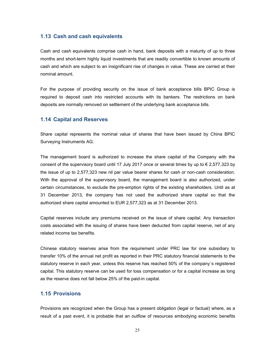## **1.13 Cash and cash equivalents**

Cash and cash equivalents comprise cash in hand, bank deposits with a maturity of up to three months and short-term highly liquid investments that are readily convertible to known amounts of cash and which are subject to an insignificant rise of changes in value. These are carried at their nominal amount.

For the purpose of providing security on the issue of bank acceptance bills BPIC Group is required to deposit cash into restricted accounts with its bankers. The restrictions on bank deposits are normally removed on settlement of the underlying bank acceptance bills.

#### **1.14 Capital and Reserves**

Share capital represents the nominal value of shares that have been issued by China BPIC Surveying Instruments AG.

The management board is authorized to increase the share capital of the Company with the consent of the supervisory board until 17 July 2017 once or several times by up to  $\epsilon$  2,577,323 by the issue of up to 2,577,323 new nil par value bearer shares for cash or non-cash consideration. With the approval of the supervisory board, the management board is also authorized, under certain circumstances, to exclude the pre-emption rights of the existing shareholders. Until as at 31 December 2013, the company has not used the authorized share capital so that the authorized share capital amounted to EUR 2,577,323 as at 31 December 2013.

Capital reserves include any premiums received on the issue of share capital. Any transaction costs associated with the issuing of shares have been deducted from capital reserve, net of any related income tax benefits.

Chinese statutory reserves arise from the requirement under PRC law for one subsidiary to transfer 10% of the annual net profit as reported in their PRC statutory financial statements to the statutory reserve in each year, unless this reserve has reached 50% of the company´s registered capital. This statutory reserve can be used for loss compensation or for a capital increase as long as the reserve does not fall below 25% of the paid-in capital.

# **1.15 Provisions**

Provisions are recognized when the Group has a present obligation (legal or factual) where, as a result of a past event, it is probable that an outflow of resources embodying economic benefits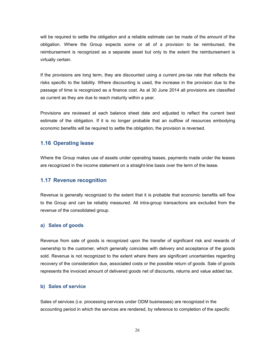will be required to settle the obligation and a reliable estimate can be made of the amount of the obligation. Where the Group expects some or all of a provision to be reimbursed, the reimbursement is recognized as a separate asset but only to the extent the reimbursement is virtually certain.

If the provisions are long term, they are discounted using a current pre-tax rate that reflects the risks specific to the liability. Where discounting is used, the increase in the provision due to the passage of time is recognized as a finance cost. As at 30 June 2014 all provisions are classified as current as they are due to reach maturity within a year.

Provisions are reviewed at each balance sheet date and adjusted to reflect the current best estimate of the obligation. If it is no longer probable that an outflow of resources embodying economic benefits will be required to settle the obligation, the provision is reversed.

# **1.16 Operating lease**

Where the Group makes use of assets under operating leases, payments made under the leases are recognized in the income statement on a straight-line basis over the term of the lease.

# **1.17 Revenue recognition**

Revenue is generally recognized to the extent that it is probable that economic benefits will flow to the Group and can be reliably measured. All intra-group transactions are excluded from the revenue of the consolidated group.

#### **a) Sales of goods**

Revenue from sale of goods is recognized upon the transfer of significant risk and rewards of ownership to the customer, which generally coincides with delivery and acceptance of the goods sold. Revenue is not recognized to the extent where there are significant uncertainties regarding recovery of the consideration due, associated costs or the possible return of goods. Sale of goods represents the invoiced amount of delivered goods net of discounts, returns and value added tax.

#### **b) Sales of service**

Sales of services (i.e. processing services under ODM businesses) are recognized in the accounting period in which the services are rendered, by reference to completion of the specific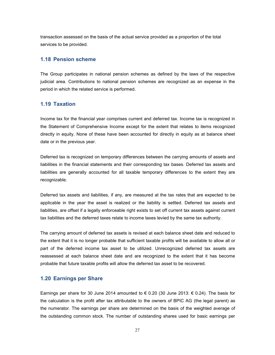transaction assessed on the basis of the actual service provided as a proportion of the total services to be provided.

# **1.18 Pension scheme**

The Group participates in national pension schemes as defined by the laws of the respective judicial area. Contributions to national pension schemes are recognized as an expense in the period in which the related service is performed.

# **1.19 Taxation**

Income tax for the financial year comprises current and deferred tax. Income tax is recognized in the Statement of Comprehensive Income except for the extent that relates to items recognized directly in equity. None of these have been accounted for directly in equity as at balance sheet date or in the previous year.

Deferred tax is recognized on temporary differences between the carrying amounts of assets and liabilities in the financial statements and their corresponding tax bases. Deferred tax assets and liabilities are generally accounted for all taxable temporary differences to the extent they are recognizable.

Deferred tax assets and liabilities, if any, are measured at the tax rates that are expected to be applicable in the year the asset is realized or the liability is settled. Deferred tax assets and liabilities, are offset if a legally enforceable right exists to set offcurrent tax assets against current tax liabilities and the deferred taxes relate to income taxes levied by the same tax authority.

The carrying amount of deferred tax assets is revised at each balance sheet date and reduced to the extent that it is no longer probable that sufficient taxable profits will be available to allow all or part of the deferred income tax asset to be utilized. Unrecognized deferred tax assets are reassessed at each balance sheet date and are recognized to the extent that it has become probable that future taxable profits will allow the deferred tax asset to be recovered.

# **1.20 Earnings per Share**

Earnings per share for 30 June 2014 amounted to € 0.20 (30 June 2013:  $∈$  0.24). The basis for the calculation is the profit after tax attributable to the owners of BPIC AG (the legal parent) as the numerator. The earnings per share are determined on the basis of the weighted average of the outstanding common stock. The number of outstanding shares used for basic earnings per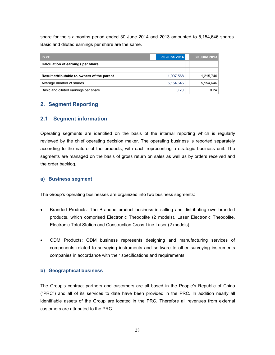share for the six months period ended 30 June 2014 and 2013 amounted to 5,154,646 shares. Basic and diluted earnings per share are the same.

| in $k \in$                                  | 30 June 2014 | 30 June 2013 |
|---------------------------------------------|--------------|--------------|
| Calculation of earnings per share           |              |              |
|                                             |              |              |
| Result attributable to owners of the parent | 1.007.568    | 1,215,740    |
| Average number of shares                    | 5,154,646    | 5,154,646    |
| Basic and diluted earnings per share        | 0.20         | 0.24         |

# **2. Segment Reporting**

# **2.1 Segment information**

Operating segments are identified on the basis of the internal reporting which is regularly reviewed by the chief operating decision maker. The operating business is reported separately according to the nature of the products, with each representing a strategic business unit. The segments are managed on the basis of gross return on sales as well as by orders received and the order backlog.

# **a) Business segment**

The Group's operating businesses are organized into two business segments:

- Branded Products: The Branded product business is selling and distributing own branded products, which comprised Electronic Theodolite (2 models), Laser Electronic Theodolite, Electronic Total Station and Construction Cross-Line Laser (2 models).
- ODM Products: ODM business represents designing and manufacturing services of components related to surveying instruments and software to other surveying instruments companies in accordance with their specifications and requirements

# **b) Geographical business**

The Group's contract partners and customers are all based in the People's Republic of China ("PRC") and all of its services to date have been provided in the PRC. In addition nearly all identifiable assets of the Group are located in the PRC. Therefore all revenues from external customers are attributed to the PRC.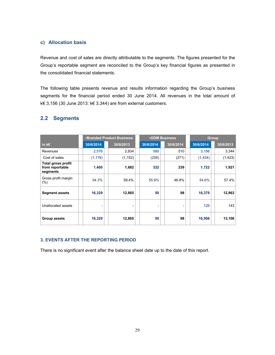# **c) Allocation basis**

Revenue and cost of sales are directly attributable to the segments. The figures presented for the Group's reportable segment are reconciled to the Group's key financial figures as presented in the consolidated financial statements.

The following table presents revenue and results information regarding the Group's business segments for the financial period ended 30 June 2014. All revenues in the total amount of k€ 3,156 (30 June 2013: k€ 3,344) are from external customers.

|                                                          | <b>•Branded Product Business</b> |                          |  | <b>.ODM Business</b>     |  |                          |  | Group     |           |          |
|----------------------------------------------------------|----------------------------------|--------------------------|--|--------------------------|--|--------------------------|--|-----------|-----------|----------|
| in $k \in$                                               | 30/6/2014                        | 30/6/2013                |  | 30/6/2014                |  | 30/6/2014                |  | 30/6/2014 | 30/6/2013 |          |
| Revenues                                                 | 2,576                            | 2,834                    |  | 580                      |  | 510                      |  | 3,156     |           | 3,344    |
| Cost of sales                                            | (1, 176)                         | (1, 152)                 |  | (258)                    |  | (271)                    |  | (1,434)   |           | (1, 423) |
| <b>Total gross profit</b><br>from reportable<br>segments | 1,400                            | 1,682                    |  | 322                      |  | 239                      |  | 1,722     |           | 1,921    |
| Gross profit margin<br>$(\% )$                           | 54.3%                            | 59.4%                    |  | 55.6%                    |  | 46.8%                    |  | 54.6%     |           | 57.4%    |
| <b>Segment assets</b>                                    | 16,329                           | 12,865                   |  | 50                       |  | 98                       |  | 16,379    |           | 12,963   |
| Unallocated assets                                       | ٠                                | $\overline{\phantom{0}}$ |  | $\overline{\phantom{a}}$ |  | $\overline{\phantom{0}}$ |  | 129       |           | 143      |
| Group assets                                             | 16,329                           | 12,865                   |  | 50                       |  | 98                       |  | 16,508    |           | 13,106   |

# **2.2 Segments**

# **3. EVENTS AFTER THE REPORTING PERIOD**

There is no significant event after the balance sheet date up to the date of this report.